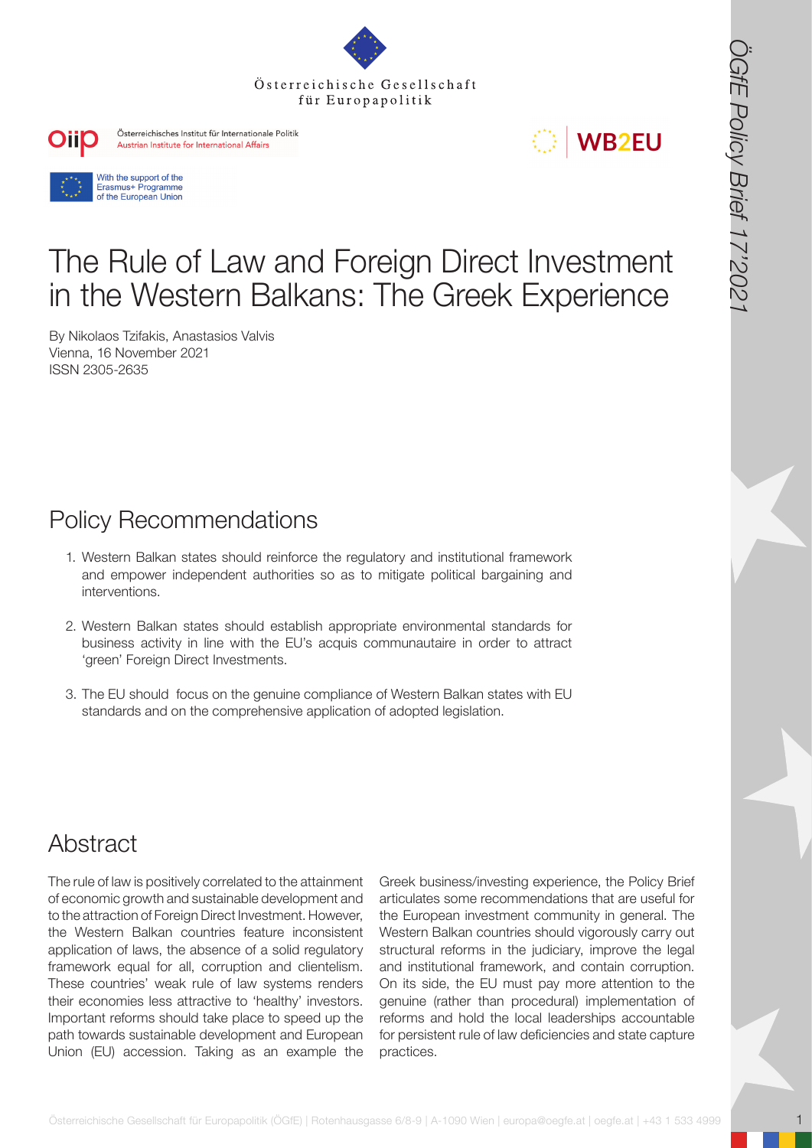







# Τhe Rule of Law and Foreign Direct Investment in the Western Balkans: The Greek Experience

By Nikolaos Tzifakis, Anastasios Valvis Vienna, 16 November 2021 ISSN 2305-2635

## Policy Recommendations

- 1. Western Balkan states should reinforce the regulatory and institutional framework and empower independent authorities so as to mitigate political bargaining and interventions.
- 2. Western Balkan states should establish appropriate environmental standards for business activity in line with the EU's acquis communautaire in order to attract 'green' Foreign Direct Investments.
- 3. The EU should focus on the genuine compliance of Western Balkan states with EU standards and on the comprehensive application of adopted legislation.

## Abstract

The rule of law is positively correlated to the attainment of economic growth and sustainable development and to the attraction of Foreign Direct Investment. However, the Western Balkan countries feature inconsistent application of laws, the absence of a solid regulatory framework equal for all, corruption and clientelism. These countries' weak rule of law systems renders their economies less attractive to 'healthy' investors. Important reforms should take place to speed up the path towards sustainable development and European Union (EU) accession. Taking as an example the

**FOREFRIGHT CONTROL** CONTROL CONTROL CONTROL CONTROL CONTROL CONTROL CONTROL CONTROL CONTROL CONTROL CONTROL CONTROL CONTROL CONTROL CONTROL CONTROL CONTROL CONTROL CONTROL CONTROL CONTROL CONTROL CONTROL CONTROL CONTROL C Greek business/investing experience, the Policy Brief articulates some recommendations that are useful for the European investment community in general. The Western Balkan countries should vigorously carry out structural reforms in the judiciary, improve the legal and institutional framework, and contain corruption. On its side, the EU must pay more attention to the genuine (rather than procedural) implementation of reforms and hold the local leaderships accountable for persistent rule of law deficiencies and state capture practices.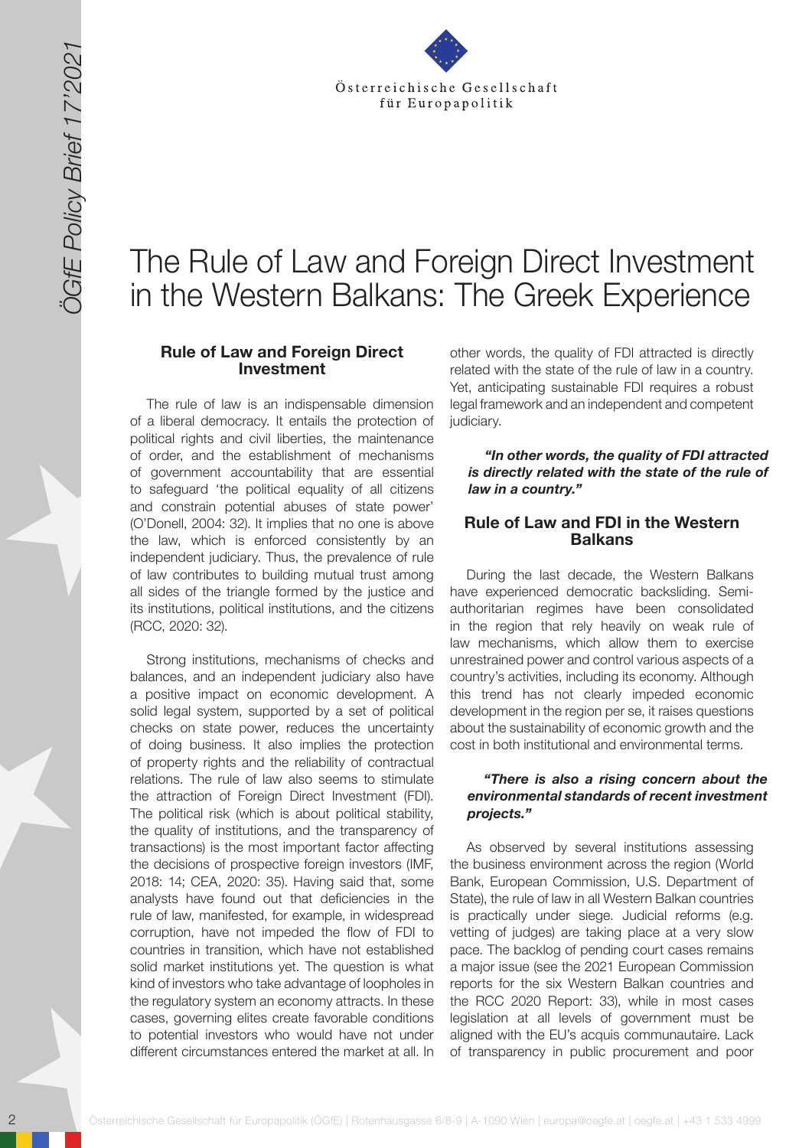

# Τhe Rule of Law and Foreign Direct Investment in the Western Balkans: The Greek Experience

#### **Rule of Law and Foreign Direct Investment**

The rule of law is an indispensable dimension of a liberal democracy. It entails the protection of political rights and civil liberties, the maintenance of order, and the establishment of mechanisms of government accountability that are essential to safeguard 'the political equality of all citizens and constrain potential abuses of state power' (O'Donell, 2004: 32). It implies that no one is above the law, which is enforced consistently by an independent judiciary. Thus, the prevalence of rule of law contributes to building mutual trust among all sides of the triangle formed by the justice and its institutions, political institutions, and the citizens (RCC, 2020: 32).

20 Sterre in the Control of the Control of the Control of the Control of the Control of the Control of the Control of the Control of the Control of the Control of the Control of the Control of the Control of the Control of Strong institutions, mechanisms of checks and balances, and an independent judiciary also have a positive impact on economic development. A solid legal system, supported by a set of political checks on state power, reduces the uncertainty of doing business. It also implies the protection of property rights and the reliability of contractual relations. The rule of law also seems to stimulate the attraction of Foreign Direct Investment (FDI). The political risk (which is about political stability, the quality of institutions, and the transparency of transactions) is the most important factor affecting the decisions of prospective foreign investors (IMF, 2018: 14; CEA, 2020: 35). Having said that, some analysts have found out that deficiencies in the rule of law, manifested, for example, in widespread corruption, have not impeded the flow of FDI to countries in transition, which have not established solid market institutions yet. The question is what kind of investors who take advantage of loopholes in the regulatory system an economy attracts. In these cases, governing elites create favorable conditions to potential investors who would have not under different circumstances entered the market at all. In

other words, the quality of FDI attracted is directly related with the state of the rule of law in a country. Yet, anticipating sustainable FDI requires a robust legal framework and an independent and competent judiciary.

*"In other words, the quality of FDI attracted is directly related with the state of the rule of law in a country."* 

#### **Rule of Law and FDI in the Western Balkans**

During the last decade, the Western Balkans have experienced democratic backsliding. Semiauthoritarian regimes have been consolidated in the region that rely heavily on weak rule of law mechanisms, which allow them to exercise unrestrained power and control various aspects of a country's activities, including its economy. Although this trend has not clearly impeded economic development in the region per se, it raises questions about the sustainability of economic growth and the cost in both institutional and environmental terms.

#### *"There is also a rising concern about the environmental standards of recent investment projects."*

As observed by several institutions assessing the business environment across the region (World Bank, European Commission, U.S. Department of State), the rule of law in all Western Balkan countries is practically under siege. Judicial reforms (e.g. vetting of judges) are taking place at a very slow pace. The backlog of pending court cases remains a major issue (see the 2021 European Commission reports for the six Western Balkan countries and the RCC 2020 Report: 33), while in most cases legislation at all levels of government must be aligned with the EU's acquis communautaire. Lack of transparency in public procurement and poor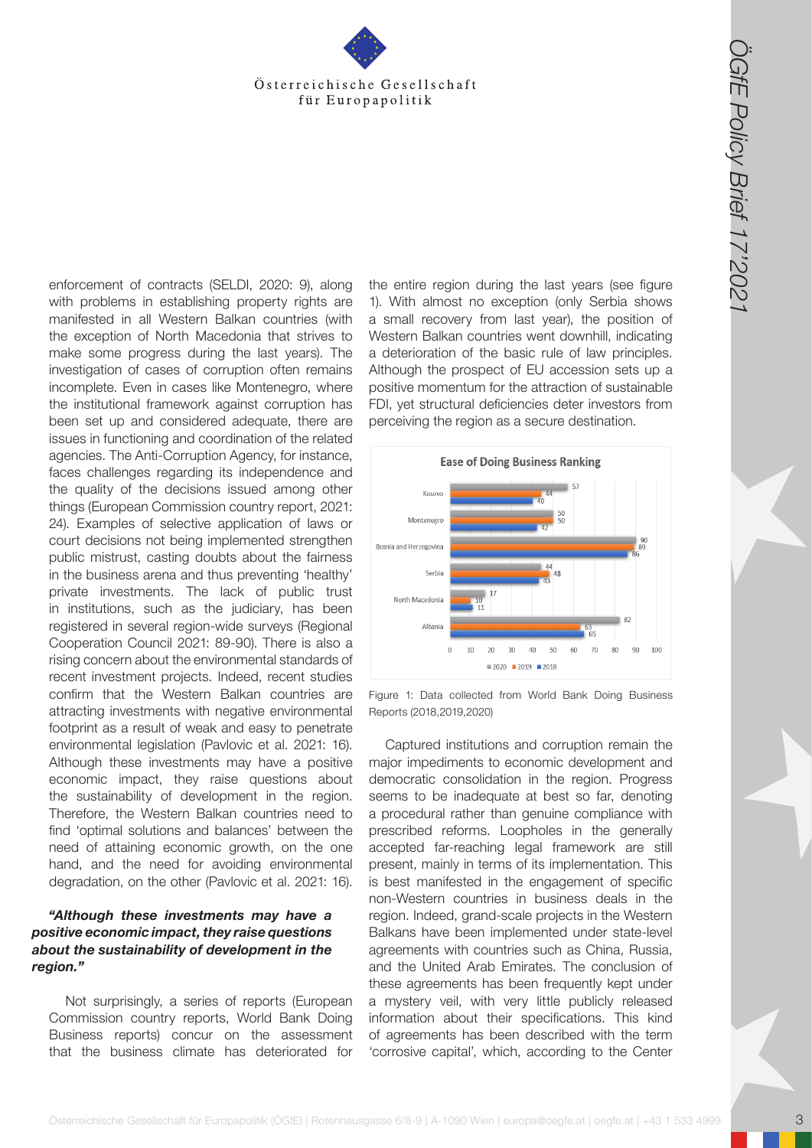

**Osterreichische Gesellschaft für Europapolitik (OGfE) | Rotenhausgasse 6/8-9 | A-1090 Wien | Europapolitik (ÖGfe) | Rotenhausgasse 6/8-9 | A-1090 Wien | europapolitik (ÖGfe) | A-1090 Wien | europapolitik (ÖGfe) | A-1090** enforcement of contracts (SELDI, 2020: 9), along with problems in establishing property rights are manifested in all Western Balkan countries (with the exception of North Macedonia that strives to make some progress during the last years). The investigation of cases of corruption often remains incomplete. Even in cases like Montenegro, where the institutional framework against corruption has been set up and considered adequate, there are issues in functioning and coordination of the related agencies. The Anti-Corruption Agency, for instance, faces challenges regarding its independence and the quality of the decisions issued among other things (European Commission country report, 2021: 24). Examples of selective application of laws or court decisions not being implemented strengthen public mistrust, casting doubts about the fairness in the business arena and thus preventing 'healthy' private investments. The lack of public trust in institutions, such as the judiciary, has been registered in several region-wide surveys (Regional Cooperation Council 2021: 89-90). There is also a rising concern about the environmental standards of recent investment projects. Indeed, recent studies confirm that the Western Balkan countries are attracting investments with negative environmental footprint as a result of weak and easy to penetrate environmental legislation (Pavlovic et al. 2021: 16). Although these investments may have a positive economic impact, they raise questions about the sustainability of development in the region. Therefore, the Western Balkan countries need to find 'optimal solutions and balances' between the need of attaining economic growth, on the one hand, and the need for avoiding environmental degradation, on the other (Pavlovic et al. 2021: 16).

#### *"Although these investments may have a positive economic impact, they raise questions about the sustainability of development in the region."*

Not surprisingly, a series of reports (European Commission country reports, World Bank Doing Business reports) concur on the assessment that the business climate has deteriorated for

the entire region during the last years (see figure 1). With almost no exception (only Serbia shows a small recovery from last year), the position of Western Balkan countries went downhill, indicating a deterioration of the basic rule of law principles. Although the prospect of EU accession sets up a positive momentum for the attraction of sustainable FDI, yet structural deficiencies deter investors from perceiving the region as a secure destination.



Figure 1: Data collected from World Bank Doing Business Reports (2018,2019,2020)

Captured institutions and corruption remain the major impediments to economic development and democratic consolidation in the region. Progress seems to be inadequate at best so far, denoting a procedural rather than genuine compliance with prescribed reforms. Loopholes in the generally accepted far-reaching legal framework are still present, mainly in terms of its implementation. This is best manifested in the engagement of specific non-Western countries in business deals in the region. Indeed, grand-scale projects in the Western Balkans have been implemented under state-level agreements with countries such as China, Russia, and the United Arab Emirates. The conclusion of these agreements has been frequently kept under a mystery veil, with very little publicly released information about their specifications. This kind of agreements has been described with the term 'corrosive capital', which, according to the Center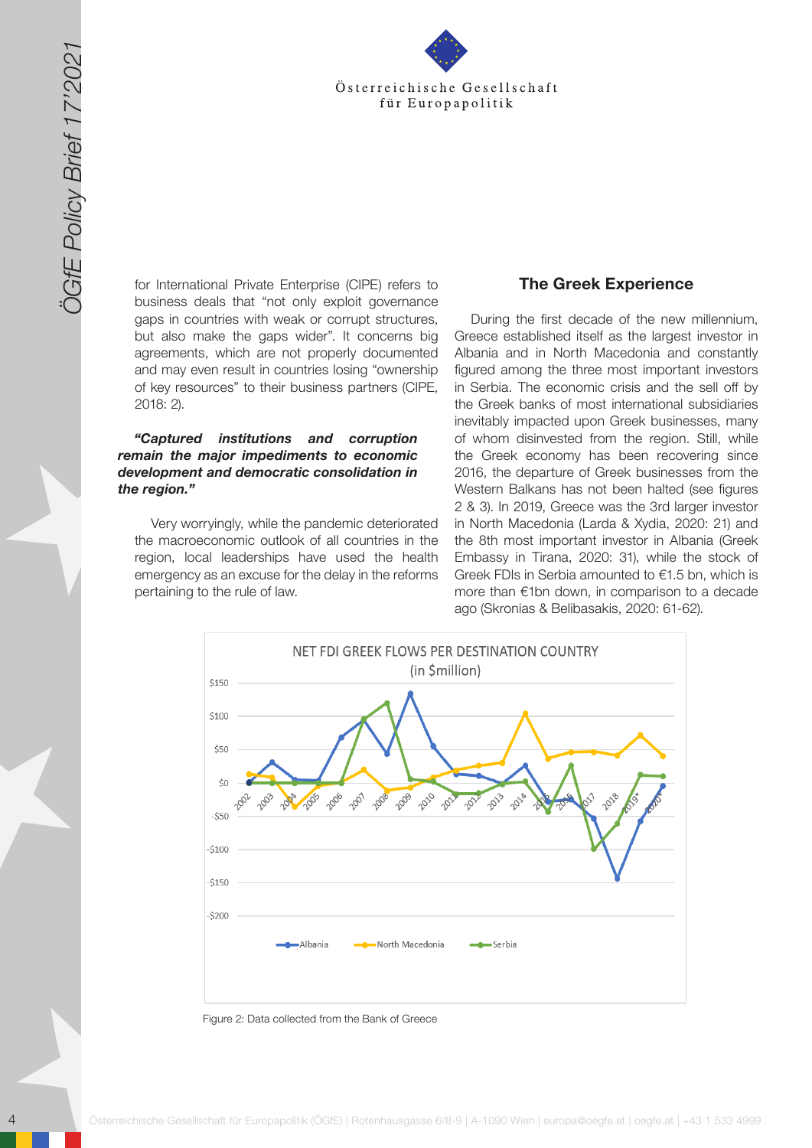

for International Private Enterprise (CIPE) refers to business deals that "not only exploit governance gaps in countries with weak or corrupt structures, but also make the gaps wider". It concerns big agreements, which are not properly documented and may even result in countries losing "ownership of key resources" to their business partners (CIPE, 2018: 2).

#### *"Captured institutions and corruption remain the major impediments to economic development and democratic consolidation in the region."*

Very worryingly, while the pandemic deteriorated the macroeconomic outlook of all countries in the region, local leaderships have used the health emergency as an excuse for the delay in the reforms pertaining to the rule of law.

#### **The Greek Experience**

During the first decade of the new millennium, Greece established itself as the largest investor in Albania and in North Macedonia and constantly figured among the three most important investors in Serbia. The economic crisis and the sell off by the Greek banks of most international subsidiaries inevitably impacted upon Greek businesses, many of whom disinvested from the region. Still, while the Greek economy has been recovering since 2016, the departure of Greek businesses from the Western Balkans has not been halted (see figures 2 & 3). In 2019, Greece was the 3rd larger investor in North Macedonia (Larda & Xydia, 2020: 21) and the 8th most important investor in Albania (Greek Embassy in Tirana, 2020: 31), while the stock of Greek FDIs in Serbia amounted to €1.5 bn, which is more than €1bn down, in comparison to a decade ago (Skronias & Belibasakis, 2020: 61-62).



Figure 2: Data collected from the Bank of Greece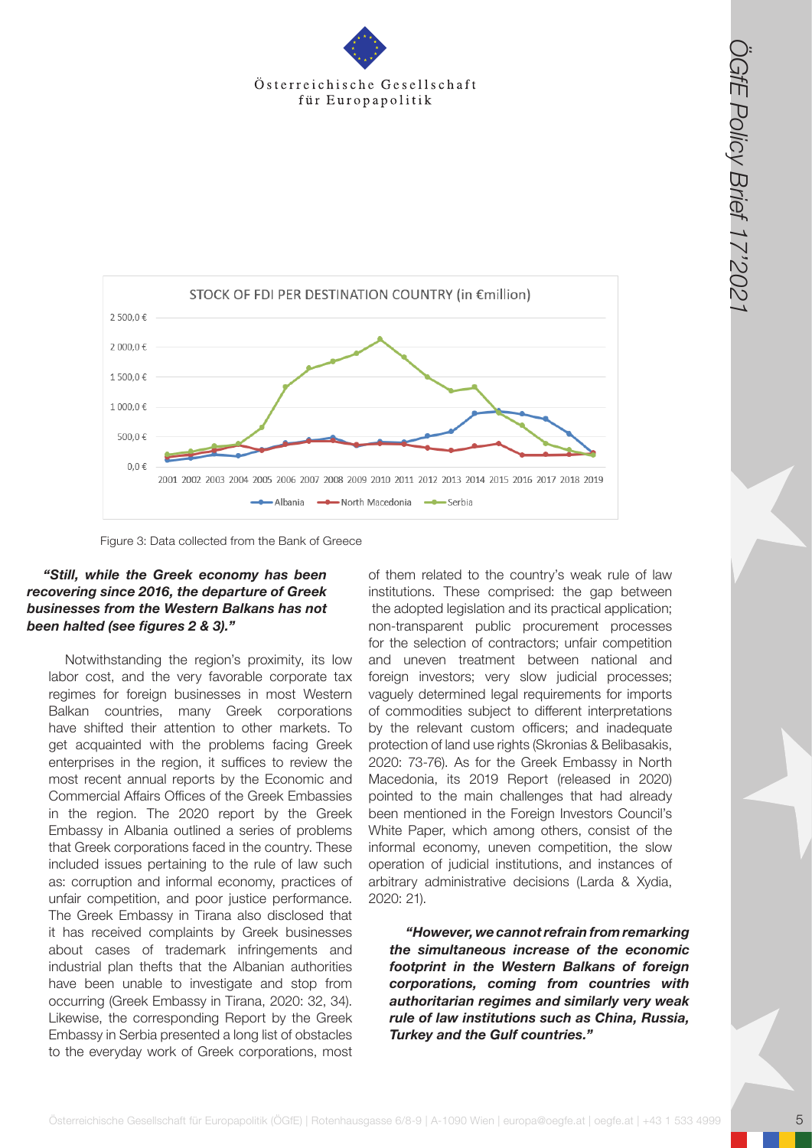

Figure 3: Data collected from the Bank of Greece

#### *"Still, while the Greek economy has been recovering since 2016, the departure of Greek businesses from the Western Balkans has not been halted (see figures 2 & 3)."*

Notwithstanding the region's proximity, its low labor cost, and the very favorable corporate tax regimes for foreign businesses in most Western Balkan countries, many Greek corporations have shifted their attention to other markets. To get acquainted with the problems facing Greek enterprises in the region, it suffices to review the most recent annual reports by the Economic and Commercial Affairs Offices of the Greek Embassies in the region. The 2020 report by the Greek Embassy in Albania outlined a series of problems that Greek corporations faced in the country. These included issues pertaining to the rule of law such as: corruption and informal economy, practices of unfair competition, and poor justice performance. The Greek Embassy in Tirana also disclosed that it has received complaints by Greek businesses about cases of trademark infringements and industrial plan thefts that the Albanian authorities have been unable to investigate and stop from occurring (Greek Embassy in Tirana, 2020: 32, 34). Likewise, the corresponding Report by the Greek Embassy in Serbia presented a long list of obstacles to the everyday work of Greek corporations, most

of them related to the country's weak rule of law institutions. These comprised: the gap between the adopted legislation and its practical application; non-transparent public procurement processes for the selection of contractors; unfair competition and uneven treatment between national and foreign investors; very slow judicial processes; vaguely determined legal requirements for imports of commodities subject to different interpretations by the relevant custom officers; and inadequate protection of land use rights (Skronias & Belibasakis, 2020: 73-76). As for the Greek Embassy in North Macedonia, its 2019 Report (released in 2020) pointed to the main challenges that had already been mentioned in the Foreign Investors Council's White Paper, which among others, consist of the informal economy, uneven competition, the slow operation of judicial institutions, and instances of arbitrary administrative decisions (Larda & Xydia, 2020: 21).

*"However, we cannot refrain from remarking the simultaneous increase of the economic footprint in the Western Balkans of foreign corporations, coming from countries with authoritarian regimes and similarly very weak rule of law institutions such as China, Russia, Turkey and the Gulf countries."*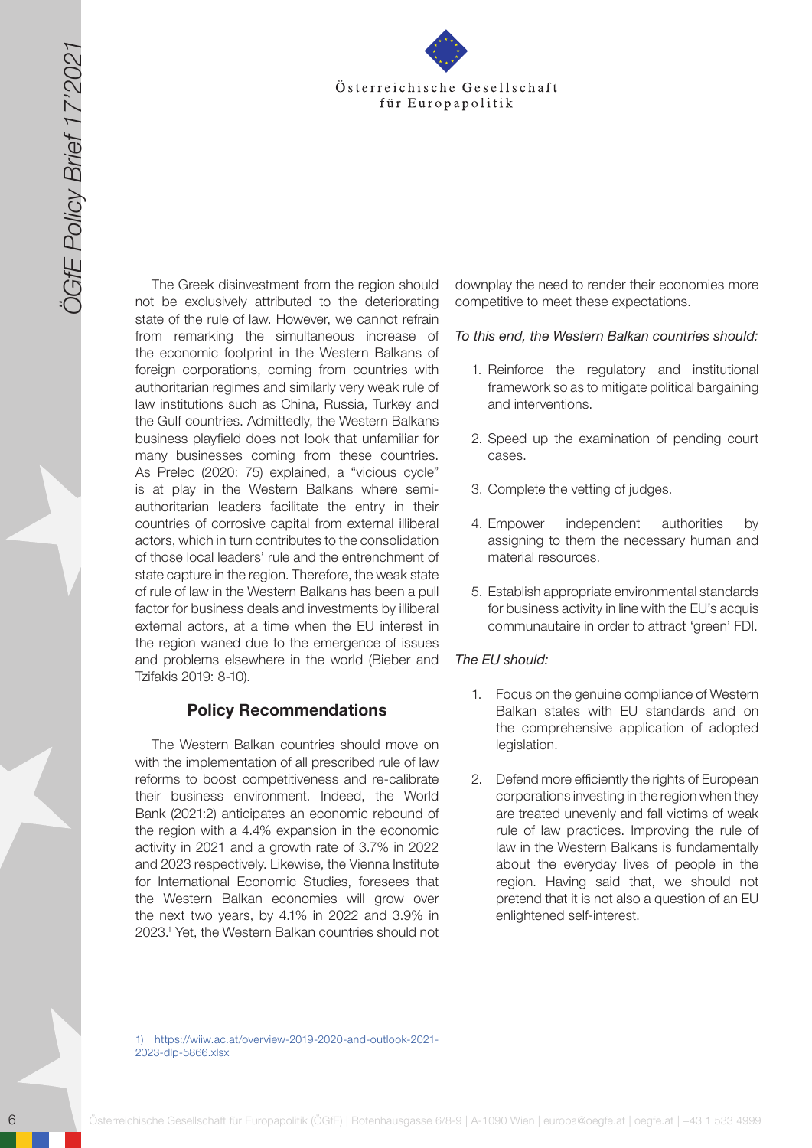

**Extra the Control of the Cesellschaft for the Control of the Cesellschaft for the Cesellschaft for the Cesellschaft for the Cesellschaft of the Cesellschaft of the Cesellschaff of the Cesellschaff of the Cesellschaff of** The Greek disinvestment from the region should not be exclusively attributed to the deteriorating state of the rule of law. However, we cannot refrain from remarking the simultaneous increase of the economic footprint in the Western Balkans of foreign corporations, coming from countries with authoritarian regimes and similarly very weak rule of law institutions such as China, Russia, Turkey and the Gulf countries. Admittedly, the Western Balkans business playfield does not look that unfamiliar for many businesses coming from these countries. As Prelec (2020: 75) explained, a "vicious cycle" is at play in the Western Balkans where semiauthoritarian leaders facilitate the entry in their countries of corrosive capital from external illiberal actors, which in turn contributes to the consolidation of those local leaders' rule and the entrenchment of state capture in the region. Therefore, the weak state of rule of law in the Western Balkans has been a pull factor for business deals and investments by illiberal external actors, at a time when the EU interest in the region waned due to the emergence of issues and problems elsewhere in the world (Bieber and Tzifakis 2019: 8-10).

#### **Policy Recommendations**

The Western Balkan countries should move on with the implementation of all prescribed rule of law reforms to boost competitiveness and re-calibrate their business environment. Indeed, the World Bank (2021:2) anticipates an economic rebound of the region with a 4.4% expansion in the economic activity in 2021 and a growth rate of 3.7% in 2022 and 2023 respectively. Likewise, the Vienna Institute for International Economic Studies, foresees that the Western Balkan economies will grow over the next two years, by 4.1% in 2022 and 3.9% in 2023.1 Yet, the Western Balkan countries should not downplay the need to render their economies more competitive to meet these expectations.

#### *To this end, the Western Balkan countries should:*

- 1. Reinforce the regulatory and institutional framework so as to mitigate political bargaining and interventions.
- 2. Speed up the examination of pending court cases.
- 3. Complete the vetting of judges.
- 4. Empower independent authorities by assigning to them the necessary human and material resources.
- 5. Establish appropriate environmental standards for business activity in line with the EU's acquis communautaire in order to attract 'green' FDI.

#### *The EU should:*

- 1. Focus on the genuine compliance of Western Balkan states with EU standards and on the comprehensive application of adopted legislation.
- 2. Defend more efficiently the rights of European corporations investing in the region when they are treated unevenly and fall victims of weak rule of law practices. Improving the rule of law in the Western Balkans is fundamentally about the everyday lives of people in the region. Having said that, we should not pretend that it is not also a question of an EU enlightened self-interest.

1) [https://wiiw.ac.at/overview-2019-2020-and-outlook-2021-](https://wiiw.ac.at/overview-2019-2020-and-outlook-2021-2023-dlp-5866.xlsx) [2023-dlp-5866.xlsx](https://wiiw.ac.at/overview-2019-2020-and-outlook-2021-2023-dlp-5866.xlsx)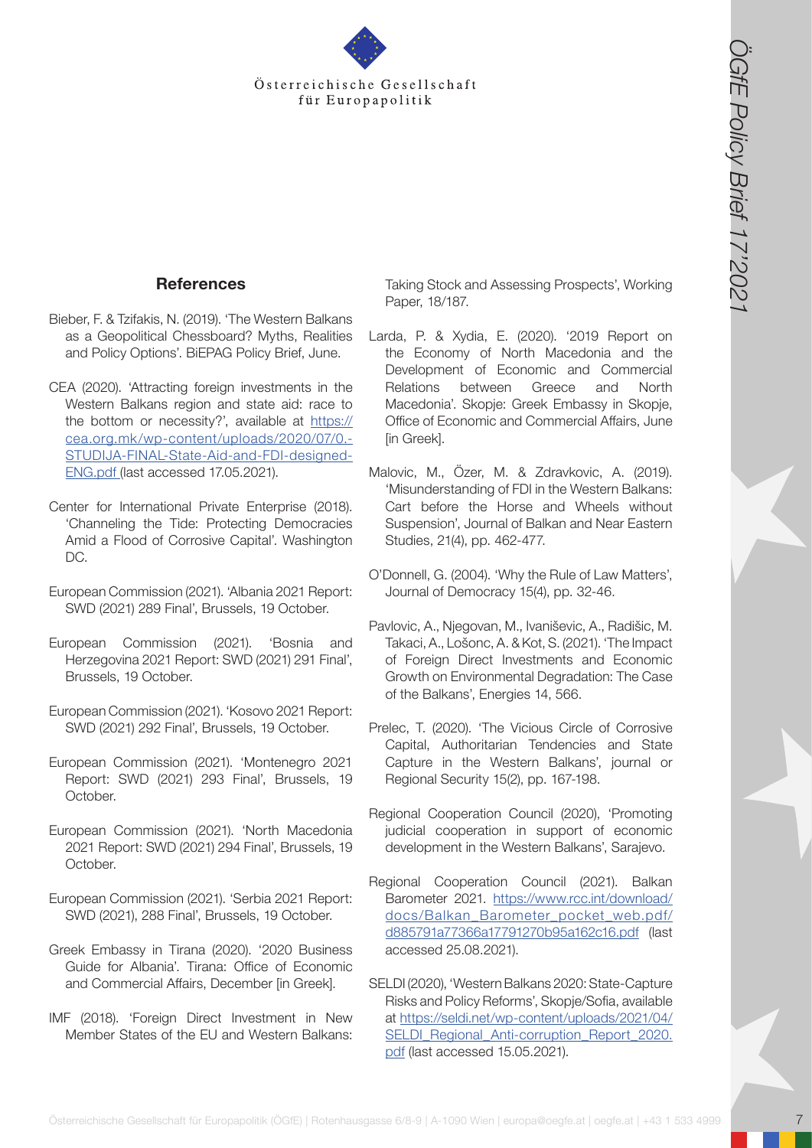

### **References**

- Bieber, F. & Tzifakis, N. (2019). 'The Western Balkans as a Geopolitical Chessboard? Myths, Realities and Policy Options'. BiEPAG Policy Brief, June.
- CEA (2020). 'Attracting foreign investments in the Western Balkans region and state aid: race to the bottom or necessity?', available at [https://](https://cea.org.mk/wp-content/uploads/2020/07/0.-STUDIJA-FINAL-State-Aid-and-FDI-designed-ENG.pdf) [cea.org.mk/wp-content/uploads/2020/07/0.-](https://cea.org.mk/wp-content/uploads/2020/07/0.-STUDIJA-FINAL-State-Aid-and-FDI-designed-ENG.pdf) [STUDIJA-FINAL-State-Aid-and-FDI-designed-](https://cea.org.mk/wp-content/uploads/2020/07/0.-STUDIJA-FINAL-State-Aid-and-FDI-designed-ENG.pdf)[ENG.pdf](https://cea.org.mk/wp-content/uploads/2020/07/0.-STUDIJA-FINAL-State-Aid-and-FDI-designed-ENG.pdf) (last accessed 17.05.2021).
- Center for International Private Enterprise (2018). 'Channeling the Tide: Protecting Democracies Amid a Flood of Corrosive Capital'. Washington DC.
- European Commission (2021). 'Albania 2021 Report: SWD (2021) 289 Final', Brussels, 19 October.
- European Commission (2021). 'Bosnia and Herzegovina 2021 Report: SWD (2021) 291 Final', Brussels, 19 October.
- European Commission (2021). 'Kosovo 2021 Report: SWD (2021) 292 Final', Brussels, 19 October.
- European Commission (2021). 'Montenegro 2021 Report: SWD (2021) 293 Final', Brussels, 19 October.
- European Commission (2021). 'North Macedonia 2021 Report: SWD (2021) 294 Final', Brussels, 19 October.
- European Commission (2021). 'Serbia 2021 Report: SWD (2021), 288 Final', Brussels, 19 October.
- Greek Embassy in Tirana (2020). '2020 Business Guide for Albania'. Tirana: Office of Economic and Commercial Affairs, December [in Greek].
- IMF (2018). 'Foreign Direct Investment in New Member States of the EU and Western Balkans:

Taking Stock and Assessing Prospects', Working Paper, 18/187.

- **Control of the Cesar Control of the Cesar Control of the Cesar Control of the Cesar Control of the Cesar Control of the Cesar Control of the Cesar Control of the Cesar Control of the Cesar Control of the Cesar Control of** Larda, P. & Xydia, E. (2020). '2019 Report on the Economy of North Macedonia and the Development of Economic and Commercial Relations between Greece and North Macedonia'. Skopje: Greek Embassy in Skopje, Office of Economic and Commercial Affairs, June [in Greek].
	- Malovic, M., Özer, M. & Zdravkovic, A. (2019). 'Misunderstanding of FDI in the Western Balkans: Cart before the Horse and Wheels without Suspension', Journal of Balkan and Near Eastern Studies, 21(4), pp. 462-477.
	- O'Donnell, G. (2004). 'Why the Rule of Law Matters', Journal of Democracy 15(4), pp. 32-46.
	- Pavlovic, A., Njegovan, M., Ivaniševic, A., Radišic, M. Takaci, A., Lošonc, A. & Kot, S. (2021). 'The Impact of Foreign Direct Investments and Economic Growth on Environmental Degradation: The Case of the Balkans', Energies 14, 566.
	- Prelec, T. (2020). 'The Vicious Circle of Corrosive Capital, Authoritarian Tendencies and State Capture in the Western Balkans', journal or Regional Security 15(2), pp. 167-198.
	- Regional Cooperation Council (2020), 'Promoting judicial cooperation in support of economic development in the Western Balkans', Sarajevo.
	- Regional Cooperation Council (2021). Balkan Barometer 2021. [https://www.rcc.int/download/](https://www.rcc.int/download/docs/Balkan_Barometer_pocket_web.pdf/d885791a77366a17791270b95a162c16.pdf) [docs/Balkan\\_Barometer\\_pocket\\_web.pdf/](https://www.rcc.int/download/docs/Balkan_Barometer_pocket_web.pdf/d885791a77366a17791270b95a162c16.pdf) [d885791a77366a17791270b95a162c16.pdf](https://www.rcc.int/download/docs/Balkan_Barometer_pocket_web.pdf/d885791a77366a17791270b95a162c16.pdf) (last accessed 25.08.2021).
	- SELDI (2020), 'Western Balkans 2020: State-Capture Risks and Policy Reforms', Skopje/Sofia, available at [https://seldi.net/wp-content/uploads/2021/04/](https://seldi.net/wp-content/uploads/2021/04/SELDI_Regional_Anti-corruption_Report_2020.pdf) [SELDI\\_Regional\\_Anti-corruption\\_Report\\_2020.](https://seldi.net/wp-content/uploads/2021/04/SELDI_Regional_Anti-corruption_Report_2020.pdf) [pdf](https://seldi.net/wp-content/uploads/2021/04/SELDI_Regional_Anti-corruption_Report_2020.pdf) (last accessed 15.05.2021).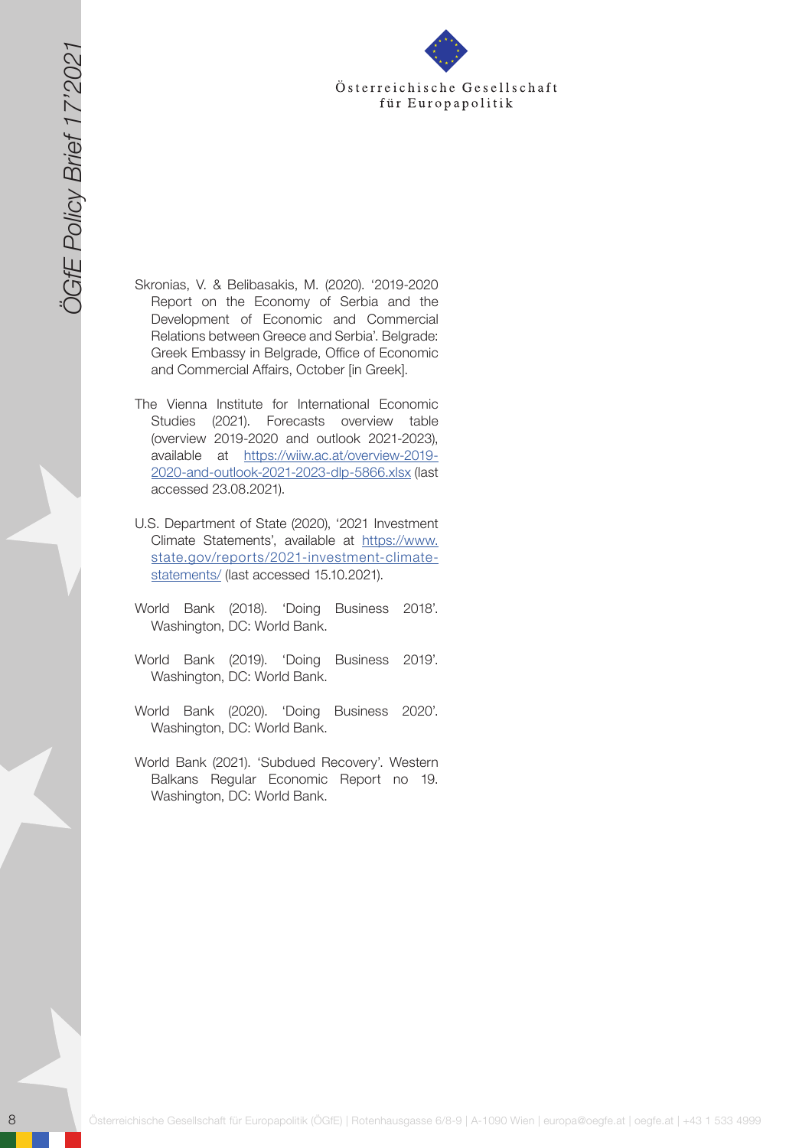- 8 Gesellschaft für Europapolitik für Europapolitik (ÖGfe) in der Europapolitik (ÖGfe) in der Europapolitik (ÖGfe) in der Europapolitik (ÖGfe) in der Europapolitik (ÖGfe) in der Europapolitik (ÖGfe) in der Europapolitik ( Skronias, V. & Belibasakis, M. (2020). '2019-2020 Report on the Economy of Serbia and the Development of Economic and Commercial Relations between Greece and Serbia'. Belgrade: Greek Embassy in Belgrade, Office of Economic and Commercial Affairs, October [in Greek].
	- The Vienna Institute for International Economic Studies (2021). Forecasts overview table (overview 2019-2020 and outlook 2021-2023), available at [https://wiiw.ac.at/overview-2019-](https://wiiw.ac.at/overview-2019-2020-and-outlook-2021-2023-dlp-5866.xlsx) [2020-and-outlook-2021-2023-dlp-5866.xlsx](https://wiiw.ac.at/overview-2019-2020-and-outlook-2021-2023-dlp-5866.xlsx) (last accessed 23.08.2021).
	- U.S. Department of State (2020), '2021 Investment Climate Statements', available at [https://www.](https://www.state.gov/reports/2021-investment-climate-statements/) [state.gov/reports/2021-investment-climate](https://www.state.gov/reports/2021-investment-climate-statements/)[statements/](https://www.state.gov/reports/2021-investment-climate-statements/) (last accessed 15.10.2021).
	- World Bank (2018). 'Doing Business 2018'. Washington, DC: World Bank.
	- World Bank (2019). 'Doing Business 2019'. Washington, DC: World Bank.
	- World Bank (2020). 'Doing Business 2020'. Washington, DC: World Bank.
	- World Bank (2021). 'Subdued Recovery'. Western Balkans Regular Economic Report no 19. Washington, DC: World Bank.